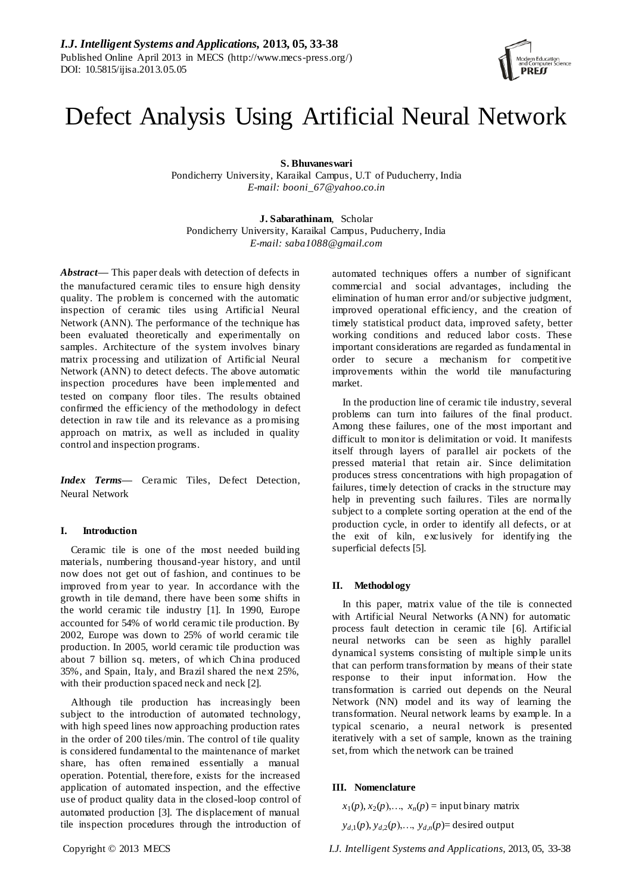# Defect Analysis Using Artificial Neural Network

**S. Bhuvaneswari**

Pondicherry University, Karaikal Campus, U.T of Puducherry, India *E-mail: [booni\\_67@yahoo.co.in](mailto:booni_67@yahoo.co.in)*

**J. Sabarathinam**, Scholar Pondicherry University, Karaikal Campus, Puducherry, India *E-mail: saba1088@gmail.com*

*Abstract—* This paper deals with detection of defects in the manufactured ceramic tiles to ensure high density quality. The problem is concerned with the automatic inspection of ceramic tiles using Artificial Neural Network (ANN). The performance of the technique has been evaluated theoretically and experimentally on samples. Architecture of the system involves binary matrix processing and utilization of Artificial Neural Network (ANN) to detect defects. The above automatic inspection procedures have been implemented and tested on company floor tiles. The results obtained confirmed the efficiency of the methodology in defect detection in raw tile and its relevance as a promising approach on matrix, as well as included in quality control and inspection programs.

*Index Terms—* Ceramic Tiles, Defect Detection, Neural Network

# **I. Introduction**

Ceramic tile is one of the most needed building materials, numbering thousand-year history, and until now does not get out of fashion, and continues to be improved from year to year. In accordance with the growth in tile demand, there have been some shifts in the world ceramic tile industry [1]. In 1990, Europe accounted for 54% of world ceramic tile production. By 2002, Europe was down to 25% of world ceramic tile production. In 2005, world ceramic tile production was about 7 billion sq. meters, of which China produced 35%, and Spain, Italy, and Brazil shared the next 25%, with their production spaced neck and neck [2].

Although tile production has increasingly been subject to the introduction of automated technology, with high speed lines now approaching production rates in the order of 200 tiles/min. The control of tile quality is considered fundamental to the maintenance of market share, has often remained essentially a manual operation. Potential, therefore, exists for the increased application of automated inspection, and the effective use of product quality data in the closed-loop control of automated production [3]. The displacement of manual tile inspection procedures through the introduction of automated techniques offers a number of significant commercial and social advantages, including the elimination of human error and/or subjective judgment, improved operational efficiency, and the creation of timely statistical product data, improved safety, better working conditions and reduced labor costs. These important considerations are regarded as fundamental in order to secure a mechanism for competitive improvements within the world tile manufacturing market.

In the production line of ceramic tile industry, several problems can turn into failures of the final product. Among these failures, one of the most important and difficult to monitor is delimitation or void. It manifests itself through layers of parallel air pockets of the pressed material that retain air. Since delimitation produces stress concentrations with high propagation of failures, timely detection of cracks in the structure may help in preventing such failures. Tiles are normally subject to a complete sorting operation at the end of the production cycle, in order to identify all defects, or at the exit of kiln, exclusively for identifying the superficial defects [5].

#### **II. Methodology**

In this paper, matrix value of the tile is connected with Artificial Neural Networks (ANN) for automatic process fault detection in ceramic tile [6]. Artificial neural networks can be seen as highly parallel dynamical systems consisting of multiple simple units that can perform transformation by means of their state response to their input information. How the transformation is carried out depends on the Neural Network (NN) model and its way of learning the transformation. Neural network learns by example. In a typical scenario, a neural network is presented iteratively with a set of sample, known as the training set, from which the network can be trained

#### **III. Nomenclature**

 $x_1(p), x_2(p), \ldots, x_n(p) =$  input binary matrix

 $y_{d,1}(p)$ ,  $y_{d,2}(p)$ ,  $\ldots$ ,  $y_{d,n}(p)$ = desired output

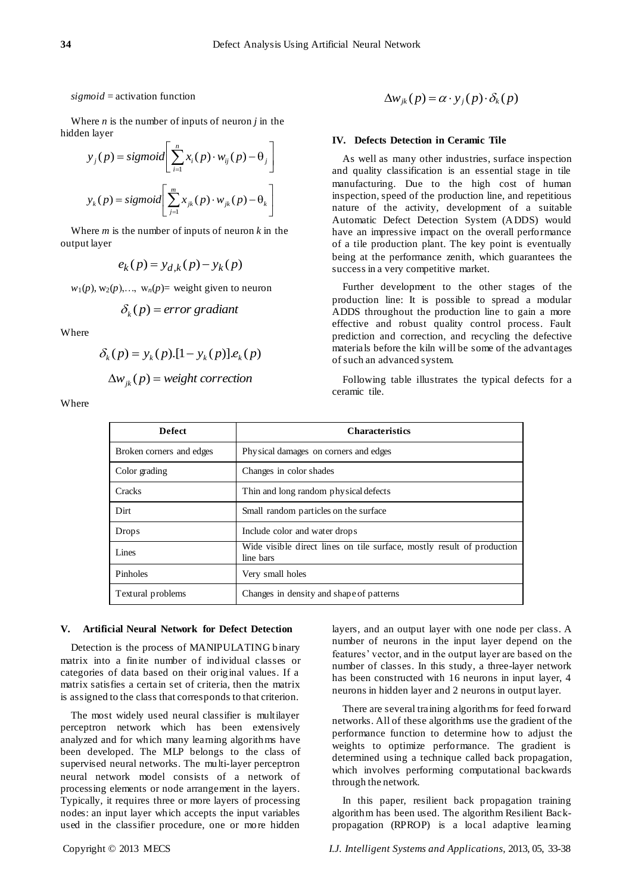#### *sigmoid* = activation function

Where  $n$  is the number of inputs of neuron  $j$  in the hidden layer

$$
y_j(p) = sigmoid\left[\sum_{i=1}^n x_i(p) \cdot w_{ij}(p) - \theta_j\right]
$$
  

$$
y_k(p) = sigmoid\left[\sum_{j=1}^m x_{jk}(p) \cdot w_{jk}(p) - \theta_k\right]
$$

Where *m* is the number of inputs of neuron *k* in the output layer

$$
e_k(p) = y_{d,k}(p) - y_k(p)
$$

 $w_1(p), w_2(p), \ldots, w_n(p)$  weight given to neuron

$$
\delta_k(p) = error\ gradient
$$

Where

$$
\delta_k(p) = y_k(p) \cdot [1 - y_k(p)] \cdot e_k(p)
$$

$$
\Delta w_{jk}(p) = weight correction
$$

Where

$$
\Delta w_{jk}(p) = \alpha \cdot y_j(p) \cdot \delta_k(p)
$$

#### **IV. Defects Detection in Ceramic Tile**

As well as many other industries, surface inspection and quality classification is an essential stage in tile manufacturing. Due to the high cost of human inspection, speed of the production line, and repetitious nature of the activity, development of a suitable Automatic Defect Detection System (ADDS) would have an impressive impact on the overall performance of a tile production plant. The key point is eventually being at the performance zenith, which guarantees the success in a very competitive market.

Further development to the other stages of the production line: It is possible to spread a modular ADDS throughout the production line to gain a more effective and robust quality control process. Fault prediction and correction, and recycling the defective materials before the kiln will be some of the advantages of such an advanced system.

Following table illustrates the typical defects for a ceramic tile.

| <b>Defect</b>            | <b>Characteristics</b>                                                              |  |
|--------------------------|-------------------------------------------------------------------------------------|--|
| Broken corners and edges | Physical damages on corners and edges                                               |  |
| Color grading            | Changes in color shades                                                             |  |
| Cracks                   | Thin and long random physical defects                                               |  |
| Dirt                     | Small random particles on the surface                                               |  |
| <b>Drops</b>             | Include color and water drops                                                       |  |
| Lines                    | Wide visible direct lines on tile surface, mostly result of production<br>line bars |  |
| Pinholes                 | Very small holes                                                                    |  |
| Textural problems        | Changes in density and shape of patterns                                            |  |

#### **V. Artificial Neural Network for Defect Detection**

Detection is the process of MANIPULATING binary matrix into a finite number of individual classes or categories of data based on their original values. If a matrix satisfies a certain set of criteria, then the matrix is assigned to the class that corresponds to that criterion.

The most widely used neural classifier is multilayer perceptron network which has been extensively analyzed and for which many learning algorithms have been developed. The MLP belongs to the class of supervised neural networks. The multi-layer perceptron neural network model consists of a network of processing elements or node arrangement in the layers. Typically, it requires three or more layers of processing nodes: an input layer which accepts the input variables used in the classifier procedure, one or more hidden

layers, and an output layer with one node per class. A number of neurons in the input layer depend on the features' vector, and in the output layer are based on the number of classes. In this study, a three-layer network has been constructed with 16 neurons in input layer, 4 neurons in hidden layer and 2 neurons in output layer.

There are several training algorithms for feed forward networks. All of these algorithms use the gradient of the performance function to determine how to adjust the weights to optimize performance. The gradient is determined using a technique called back propagation, which involves performing computational backwards through the network.

In this paper, resilient back propagation training algorithm has been used. The algorithm Resilient Backpropagation (RPROP) is a local adaptive learning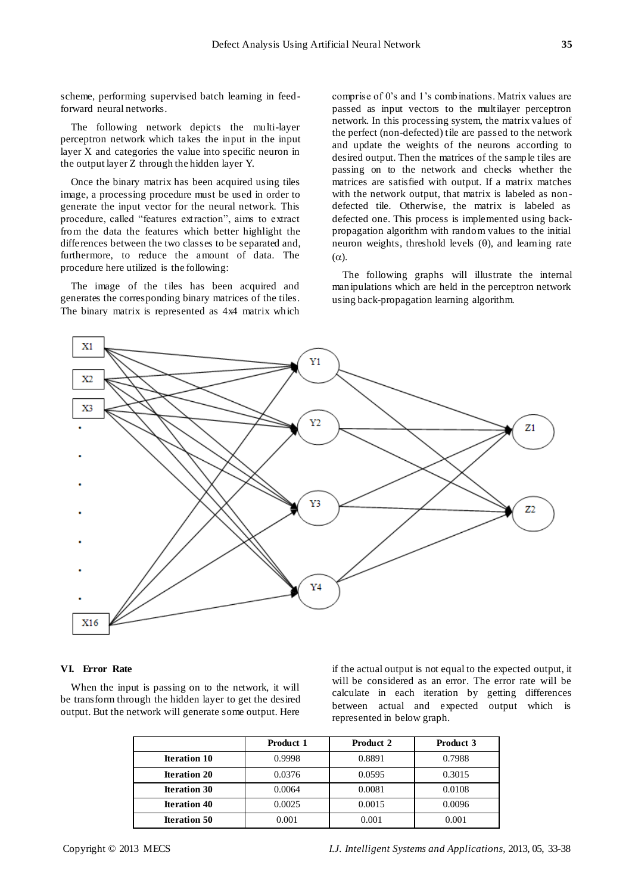scheme, performing supervised batch learning in feedforward neural networks.

The following network depicts the multi-layer perceptron network which takes the input in the input layer X and categories the value into specific neuron in the output layer Z through the hidden layer Y.

Once the binary matrix has been acquired using tiles image, a processing procedure must be used in order to generate the input vector for the neural network. This procedure, called "features extraction", aims to extract from the data the features which better highlight the differences between the two classes to be separated and, furthermore, to reduce the amount of data. The procedure here utilized is the following:

The image of the tiles has been acquired and generates the corresponding binary matrices of the tiles. The binary matrix is represented as 4x4 matrix which comprise of 0's and 1's combinations. Matrix values are passed as input vectors to the multilayer perceptron network. In this processing system, the matrix values of the perfect (non-defected) tile are passed to the network and update the weights of the neurons according to desired output. Then the matrices of the sample tiles are passing on to the network and checks whether the matrices are satisfied with output. If a matrix matches with the network output, that matrix is labeled as nondefected tile. Otherwise, the matrix is labeled as defected one. This process is implemented using backpropagation algorithm with random values to the initial neuron weights, threshold levels  $(\theta)$ , and learning rate  $(\alpha)$ .

The following graphs will illustrate the internal manipulations which are held in the perceptron network using back-propagation learning algorithm.



# **VI. Error Rate**

When the input is passing on to the network, it will be transform through the hidden layer to get the desired output. But the network will generate some output. Here

if the actual output is not equal to the expected output, it will be considered as an error. The error rate will be calculate in each iteration by getting differences between actual and expected output which is represented in below graph.

|                     | <b>Product 1</b> | Product 2 | Product 3 |
|---------------------|------------------|-----------|-----------|
| <b>Iteration 10</b> | 0.9998           | 0.8891    | 0.7988    |
| <b>Iteration 20</b> | 0.0376           | 0.0595    | 0.3015    |
| <b>Iteration 30</b> | 0.0064           | 0.0081    | 0.0108    |
| <b>Iteration 40</b> | 0.0025           | 0.0015    | 0.0096    |
| <b>Iteration 50</b> | 0.001            | 0.001     | 0.001     |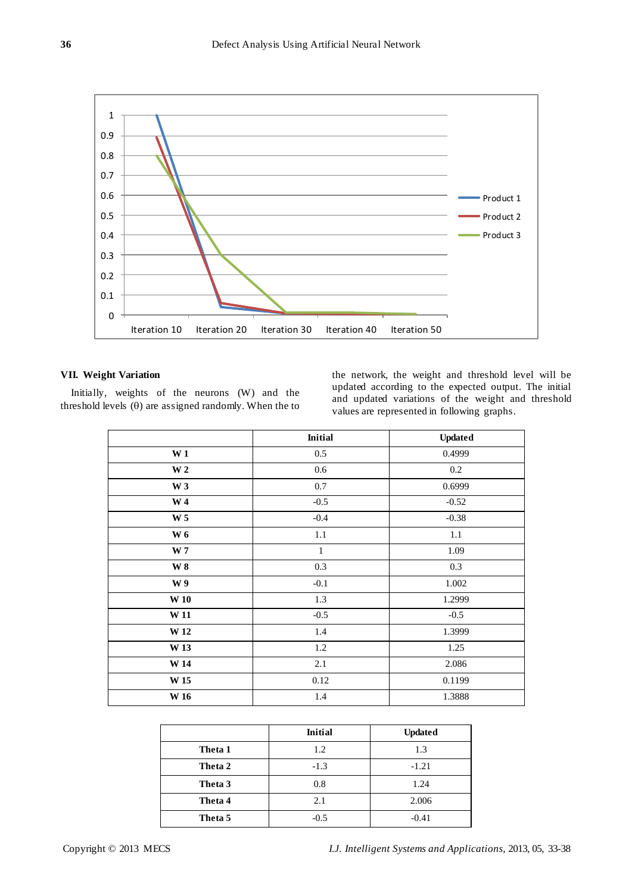

# **VII. Weight Variation**

Initially, weights of the neurons (W) and the threshold levels  $(\theta)$  are assigned randomly. When the to

the network, the weight and threshold level will be updated according to the expected output. The initial and updated variations of the weight and threshold values are represented in following graphs.

|                 | <b>Initial</b> | <b>Updated</b> |
|-----------------|----------------|----------------|
| W <sub>1</sub>  | 0.5            | 0.4999         |
| W <sub>2</sub>  | 0.6            | $0.2\,$        |
| W <sub>3</sub>  | $0.7\,$        | 0.6999         |
| W <sub>4</sub>  | $-0.5$         | $-0.52$        |
| W <sub>5</sub>  | $-0.4$         | $-0.38$        |
| <b>W6</b>       | 1.1            | 1.1            |
| W <sub>7</sub>  | $\mathbf{1}$   | 1.09           |
| $\bf W$ 8       | 0.3            | $0.3\,$        |
| W <sub>9</sub>  | $-0.1$         | $1.002\,$      |
| W <sub>10</sub> | 1.3            | 1.2999         |
| W <sub>11</sub> | $-0.5$         | $-0.5$         |
| W <sub>12</sub> | 1.4            | 1.3999         |
| W <sub>13</sub> | 1.2            | 1.25           |
| W <sub>14</sub> | 2.1            | 2.086          |
| $\bf W$ 15      | 0.12           | 0.1199         |
| <b>W</b> 16     | 1.4            | 1.3888         |

|         | <b>Initial</b> | <b>Updated</b> |
|---------|----------------|----------------|
| Theta 1 | 1.2            | 1.3            |
| Theta 2 | $-1.3$         | $-1.21$        |
| Theta 3 | 0.8            | 1.24           |
| Theta 4 | 2.1            | 2.006          |
| Theta 5 | $-0.5$         | $-0.41$        |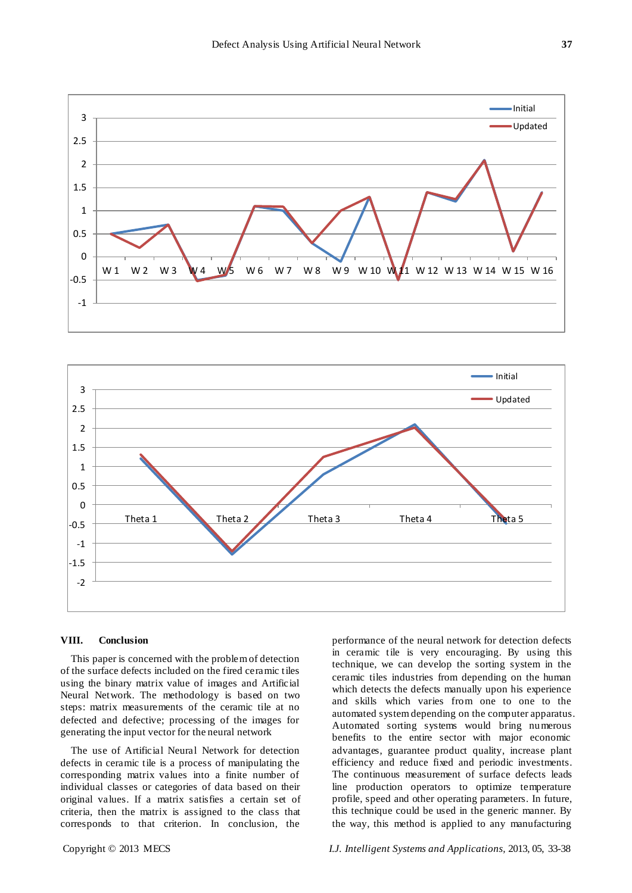



### **VIII. Conclusion**

This paper is concerned with the problem of detection of the surface defects included on the fired ceramic tiles using the binary matrix value of images and Artificial Neural Network. The methodology is based on two steps: matrix measurements of the ceramic tile at no defected and defective; processing of the images for generating the input vector for the neural network

The use of Artificial Neural Network for detection defects in ceramic tile is a process of manipulating the corresponding matrix values into a finite number of individual classes or categories of data based on their original values. If a matrix satisfies a certain set of criteria, then the matrix is assigned to the class that corresponds to that criterion. In conclusion, the

ceramic tiles industries from depending on the human which detects the defects manually upon his experience and skills which varies from one to one to the automated system depending on the computer apparatus. Automated sorting systems would bring numerous benefits to the entire sector with major economic advantages, guarantee product quality, increase plant efficiency and reduce fixed and periodic investments. The continuous measurement of surface defects leads line production operators to optimize temperature profile, speed and other operating parameters. In future, this technique could be used in the generic manner. By the way, this method is applied to any manufacturing

Copyright © 2013 MECS *I.J. Intelligent Systems and Applications,* 2013, 05, 33-38

performance of the neural network for detection defects in ceramic tile is very encouraging. By using this technique, we can develop the sorting system in the